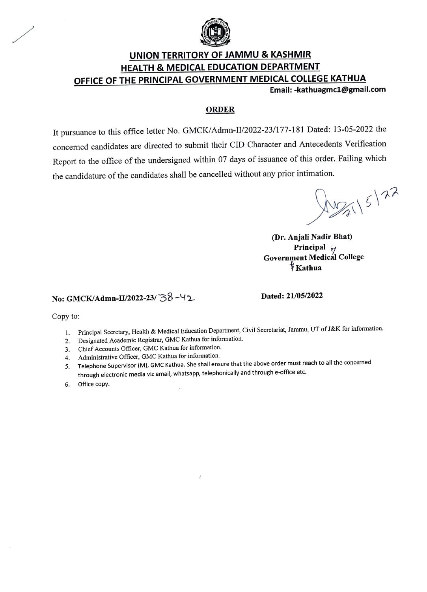

# UNION TERRITORY OF JAMMU & KASHMIR HEALTH & MEDICAL EDUCATION DEPARTMENT OFFICE OF THE PRINCIPAL GOVERNMENT MEDICAL COLLEGE KATHUA<br>Email: -kathuagmc1@gmail.com

#### ORDER

It pursuance to this office letter No. GMCK/Admn-II/2022-23/177-181 Dated: 13-05-2022 the concerned candidates are directed to submit their CID Character and Antecedents Verification Report to the office of the undersigned within 07 days of issuance of this order. Failing which the candidature of the candidates shall be cancelled without any prior intimation.

Mag 15/22

(Dr. Anjali Nadir Bhat) Principal  $\forall$ Government Medicál College Kathua

### No: GMCK/Admn-U/2022-23/38-42 Dated: 21/05/2022

Copy to:

- 1. Principal Secretary, Health & Medical Education Department, Civil Secretariat, Jammu, UT of J&K for information.
- Designated Academic Registrar, GMC Kathua for information. 2.
- Chief Accounts Officer, GMC Kathua for information. 3.
- 4. Administrative Officer, GMC Kathua for information.
- 1. Telephone Supervisor (M), GMC Kathua. She shall ensure that the above order must reach to all the concerned through electronic media viz email, whatsapp, telephonically and through e-office etc.
- 6. Office copy.